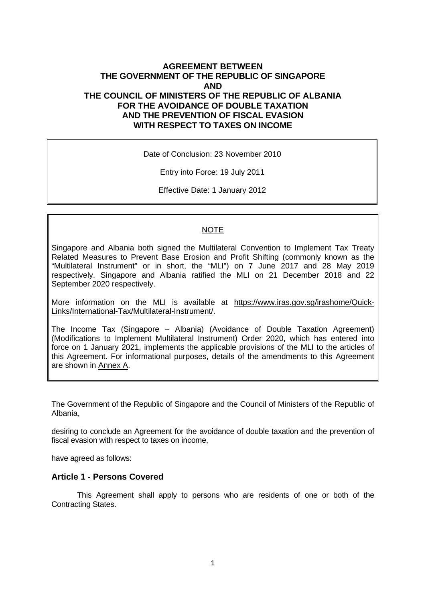## **AGREEMENT BETWEEN THE GOVERNMENT OF THE REPUBLIC OF SINGAPORE AND THE COUNCIL OF MINISTERS OF THE REPUBLIC OF ALBANIA FOR THE AVOIDANCE OF DOUBLE TAXATION AND THE PREVENTION OF FISCAL EVASION WITH RESPECT TO TAXES ON INCOME**

Date of Conclusion: 23 November 2010

Entry into Force: 19 July 2011

Effective Date: 1 January 2012

#### **NOTE**

Singapore and Albania both signed the Multilateral Convention to Implement Tax Treaty Related Measures to Prevent Base Erosion and Profit Shifting (commonly known as the "Multilateral Instrument" or in short, the "MLI") on 7 June 2017 and 28 May 2019 respectively. Singapore and Albania ratified the MLI on 21 December 2018 and 22 September 2020 respectively.

More information on the MLI is available at https://www.iras.gov.sg/irashome/Quick-Links/International-Tax/Multilateral-Instrument/.

The Income Tax (Singapore – Albania) (Avoidance of Double Taxation Agreement) (Modifications to Implement Multilateral Instrument) Order 2020, which has entered into force on 1 January 2021, implements the applicable provisions of the MLI to the articles of this Agreement. For informational purposes, details of the amendments to this Agreement are shown in Annex A.

The Government of the Republic of Singapore and the Council of Ministers of the Republic of Albania,

desiring to conclude an Agreement for the avoidance of double taxation and the prevention of fiscal evasion with respect to taxes on income,

have agreed as follows:

#### **Article 1 - Persons Covered**

This Agreement shall apply to persons who are residents of one or both of the Contracting States.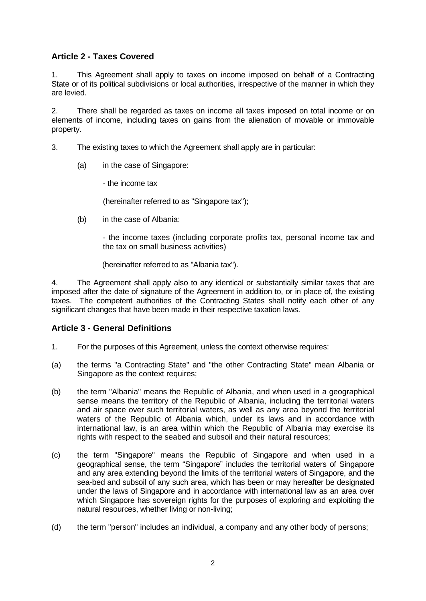# **Article 2 - Taxes Covered**

1. This Agreement shall apply to taxes on income imposed on behalf of a Contracting State or of its political subdivisions or local authorities, irrespective of the manner in which they are levied.

2. There shall be regarded as taxes on income all taxes imposed on total income or on elements of income, including taxes on gains from the alienation of movable or immovable property.

- 3. The existing taxes to which the Agreement shall apply are in particular:
	- (a) in the case of Singapore:

- the income tax

(hereinafter referred to as "Singapore tax");

(b) in the case of Albania:

- the income taxes (including corporate profits tax, personal income tax and the tax on small business activities)

(hereinafter referred to as "Albania tax").

4. The Agreement shall apply also to any identical or substantially similar taxes that are imposed after the date of signature of the Agreement in addition to, or in place of, the existing taxes. The competent authorities of the Contracting States shall notify each other of any significant changes that have been made in their respective taxation laws.

## **Article 3 - General Definitions**

- 1. For the purposes of this Agreement, unless the context otherwise requires:
- (a) the terms "a Contracting State" and "the other Contracting State" mean Albania or Singapore as the context requires;
- (b) the term "Albania" means the Republic of Albania, and when used in a geographical sense means the territory of the Republic of Albania, including the territorial waters and air space over such territorial waters, as well as any area beyond the territorial waters of the Republic of Albania which, under its laws and in accordance with international law, is an area within which the Republic of Albania may exercise its rights with respect to the seabed and subsoil and their natural resources;
- (c) the term "Singapore" means the Republic of Singapore and when used in a geographical sense, the term "Singapore" includes the territorial waters of Singapore and any area extending beyond the limits of the territorial waters of Singapore, and the sea-bed and subsoil of any such area, which has been or may hereafter be designated under the laws of Singapore and in accordance with international law as an area over which Singapore has sovereign rights for the purposes of exploring and exploiting the natural resources, whether living or non-living;
- (d) the term "person" includes an individual, a company and any other body of persons;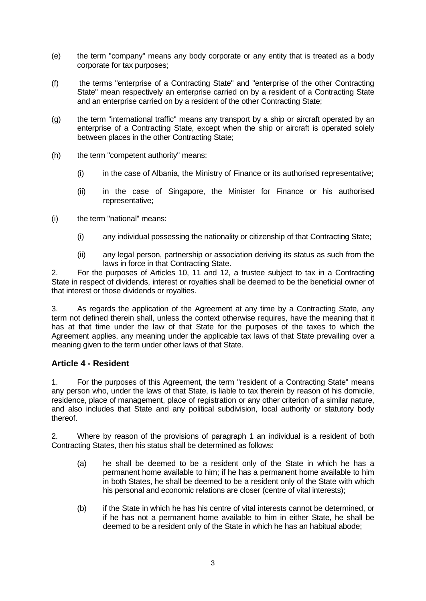- (e) the term "company" means any body corporate or any entity that is treated as a body corporate for tax purposes;
- (f) the terms "enterprise of a Contracting State" and "enterprise of the other Contracting State" mean respectively an enterprise carried on by a resident of a Contracting State and an enterprise carried on by a resident of the other Contracting State;
- (g) the term "international traffic" means any transport by a ship or aircraft operated by an enterprise of a Contracting State, except when the ship or aircraft is operated solely between places in the other Contracting State;
- (h) the term "competent authority" means:
	- (i) in the case of Albania, the Ministry of Finance or its authorised representative;
	- (ii) in the case of Singapore, the Minister for Finance or his authorised representative;
- (i) the term "national" means:
	- (i) any individual possessing the nationality or citizenship of that Contracting State;
	- (ii) any legal person, partnership or association deriving its status as such from the laws in force in that Contracting State.

2. For the purposes of Articles 10, 11 and 12, a trustee subject to tax in a Contracting State in respect of dividends, interest or royalties shall be deemed to be the beneficial owner of that interest or those dividends or royalties.

3. As regards the application of the Agreement at any time by a Contracting State, any term not defined therein shall, unless the context otherwise requires, have the meaning that it has at that time under the law of that State for the purposes of the taxes to which the Agreement applies, any meaning under the applicable tax laws of that State prevailing over a meaning given to the term under other laws of that State.

## **Article 4 - Resident**

1. For the purposes of this Agreement, the term "resident of a Contracting State" means any person who, under the laws of that State, is liable to tax therein by reason of his domicile, residence, place of management, place of registration or any other criterion of a similar nature, and also includes that State and any political subdivision, local authority or statutory body thereof.

2. Where by reason of the provisions of paragraph 1 an individual is a resident of both Contracting States, then his status shall be determined as follows:

- (a) he shall be deemed to be a resident only of the State in which he has a permanent home available to him; if he has a permanent home available to him in both States, he shall be deemed to be a resident only of the State with which his personal and economic relations are closer (centre of vital interests);
- (b) if the State in which he has his centre of vital interests cannot be determined, or if he has not a permanent home available to him in either State, he shall be deemed to be a resident only of the State in which he has an habitual abode;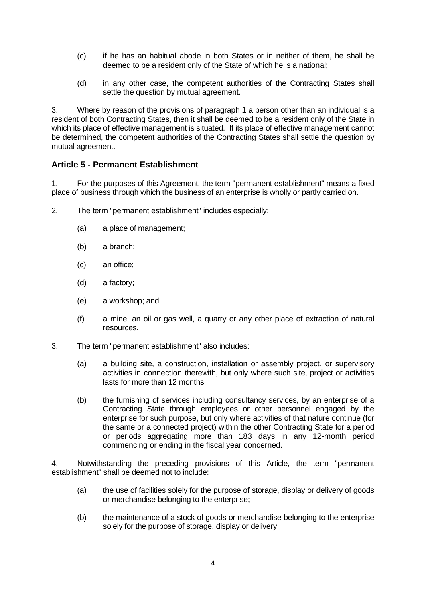- (c) if he has an habitual abode in both States or in neither of them, he shall be deemed to be a resident only of the State of which he is a national;
- (d) in any other case, the competent authorities of the Contracting States shall settle the question by mutual agreement.

3. Where by reason of the provisions of paragraph 1 a person other than an individual is a resident of both Contracting States, then it shall be deemed to be a resident only of the State in which its place of effective management is situated. If its place of effective management cannot be determined, the competent authorities of the Contracting States shall settle the question by mutual agreement.

# **Article 5 - Permanent Establishment**

1. For the purposes of this Agreement, the term "permanent establishment" means a fixed place of business through which the business of an enterprise is wholly or partly carried on.

- 2. The term "permanent establishment" includes especially:
	- (a) a place of management;
	- (b) a branch;
	- (c) an office;
	- (d) a factory;
	- (e) a workshop; and
	- (f) a mine, an oil or gas well, a quarry or any other place of extraction of natural resources.
- 3. The term "permanent establishment" also includes:
	- (a) a building site, a construction, installation or assembly project, or supervisory activities in connection therewith, but only where such site, project or activities lasts for more than 12 months;
	- (b) the furnishing of services including consultancy services, by an enterprise of a Contracting State through employees or other personnel engaged by the enterprise for such purpose, but only where activities of that nature continue (for the same or a connected project) within the other Contracting State for a period or periods aggregating more than 183 days in any 12-month period commencing or ending in the fiscal year concerned.

4. Notwithstanding the preceding provisions of this Article, the term "permanent establishment" shall be deemed not to include:

- (a) the use of facilities solely for the purpose of storage, display or delivery of goods or merchandise belonging to the enterprise;
- (b) the maintenance of a stock of goods or merchandise belonging to the enterprise solely for the purpose of storage, display or delivery;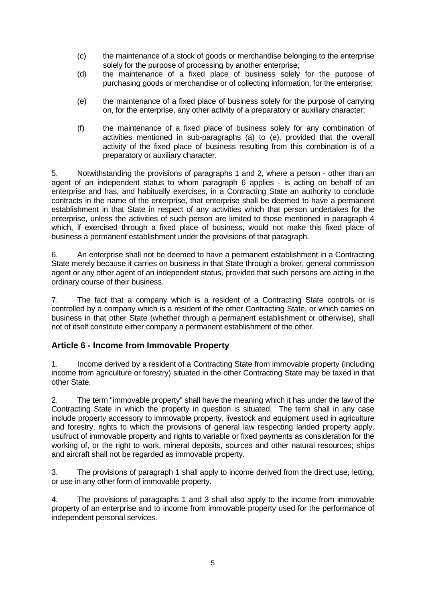- (c) the maintenance of a stock of goods or merchandise belonging to the enterprise solely for the purpose of processing by another enterprise;
- (d) the maintenance of a fixed place of business solely for the purpose of purchasing goods or merchandise or of collecting information, for the enterprise;
- (e) the maintenance of a fixed place of business solely for the purpose of carrying on, for the enterprise, any other activity of a preparatory or auxiliary character;
- (f) the maintenance of a fixed place of business solely for any combination of activities mentioned in sub-paragraphs (a) to (e), provided that the overall activity of the fixed place of business resulting from this combination is of a preparatory or auxiliary character.

5. Notwithstanding the provisions of paragraphs 1 and 2, where a person - other than an agent of an independent status to whom paragraph 6 applies - is acting on behalf of an enterprise and has, and habitually exercises, in a Contracting State an authority to conclude contracts in the name of the enterprise, that enterprise shall be deemed to have a permanent establishment in that State in respect of any activities which that person undertakes for the enterprise, unless the activities of such person are limited to those mentioned in paragraph 4 which, if exercised through a fixed place of business, would not make this fixed place of business a permanent establishment under the provisions of that paragraph.

6. An enterprise shall not be deemed to have a permanent establishment in a Contracting State merely because it carries on business in that State through a broker, general commission agent or any other agent of an independent status, provided that such persons are acting in the ordinary course of their business.

7. The fact that a company which is a resident of a Contracting State controls or is controlled by a company which is a resident of the other Contracting State, or which carries on business in that other State (whether through a permanent establishment or otherwise), shall not of itself constitute either company a permanent establishment of the other.

## **Article 6 - Income from Immovable Property**

1. Income derived by a resident of a Contracting State from immovable property (including income from agriculture or forestry) situated in the other Contracting State may be taxed in that other State.

2. The term "immovable property" shall have the meaning which it has under the law of the Contracting State in which the property in question is situated. The term shall in any case include property accessory to immovable property, livestock and equipment used in agriculture and forestry, rights to which the provisions of general law respecting landed property apply, usufruct of immovable property and rights to variable or fixed payments as consideration for the working of, or the right to work, mineral deposits, sources and other natural resources; ships and aircraft shall not be regarded as immovable property.

3. The provisions of paragraph 1 shall apply to income derived from the direct use, letting, or use in any other form of immovable property.

4. The provisions of paragraphs 1 and 3 shall also apply to the income from immovable property of an enterprise and to income from immovable property used for the performance of independent personal services.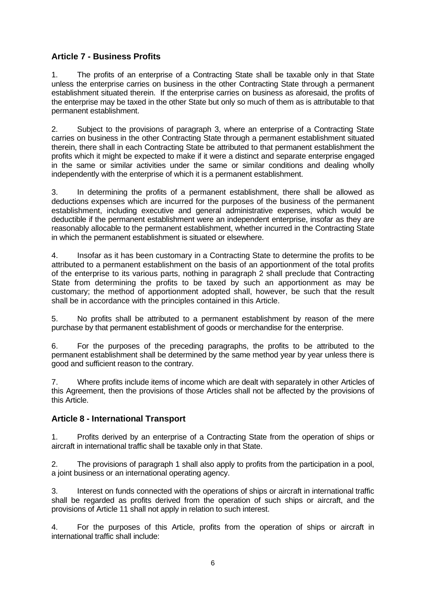# **Article 7 - Business Profits**

1. The profits of an enterprise of a Contracting State shall be taxable only in that State unless the enterprise carries on business in the other Contracting State through a permanent establishment situated therein. If the enterprise carries on business as aforesaid, the profits of the enterprise may be taxed in the other State but only so much of them as is attributable to that permanent establishment.

2. Subject to the provisions of paragraph 3, where an enterprise of a Contracting State carries on business in the other Contracting State through a permanent establishment situated therein, there shall in each Contracting State be attributed to that permanent establishment the profits which it might be expected to make if it were a distinct and separate enterprise engaged in the same or similar activities under the same or similar conditions and dealing wholly independently with the enterprise of which it is a permanent establishment.

3. In determining the profits of a permanent establishment, there shall be allowed as deductions expenses which are incurred for the purposes of the business of the permanent establishment, including executive and general administrative expenses, which would be deductible if the permanent establishment were an independent enterprise, insofar as they are reasonably allocable to the permanent establishment, whether incurred in the Contracting State in which the permanent establishment is situated or elsewhere.

4. Insofar as it has been customary in a Contracting State to determine the profits to be attributed to a permanent establishment on the basis of an apportionment of the total profits of the enterprise to its various parts, nothing in paragraph 2 shall preclude that Contracting State from determining the profits to be taxed by such an apportionment as may be customary; the method of apportionment adopted shall, however, be such that the result shall be in accordance with the principles contained in this Article.

5. No profits shall be attributed to a permanent establishment by reason of the mere purchase by that permanent establishment of goods or merchandise for the enterprise.

6. For the purposes of the preceding paragraphs, the profits to be attributed to the permanent establishment shall be determined by the same method year by year unless there is good and sufficient reason to the contrary.

7. Where profits include items of income which are dealt with separately in other Articles of this Agreement, then the provisions of those Articles shall not be affected by the provisions of this Article.

## **Article 8 - International Transport**

1. Profits derived by an enterprise of a Contracting State from the operation of ships or aircraft in international traffic shall be taxable only in that State.

2. The provisions of paragraph 1 shall also apply to profits from the participation in a pool, a joint business or an international operating agency.

3. Interest on funds connected with the operations of ships or aircraft in international traffic shall be regarded as profits derived from the operation of such ships or aircraft, and the provisions of Article 11 shall not apply in relation to such interest.

4. For the purposes of this Article, profits from the operation of ships or aircraft in international traffic shall include: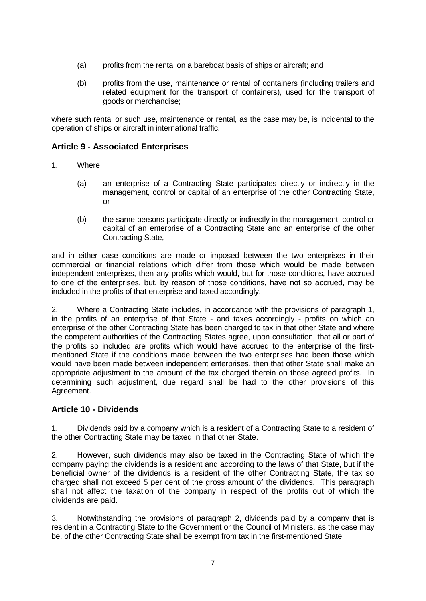- (a) profits from the rental on a bareboat basis of ships or aircraft; and
- (b) profits from the use, maintenance or rental of containers (including trailers and related equipment for the transport of containers), used for the transport of goods or merchandise;

where such rental or such use, maintenance or rental, as the case may be, is incidental to the operation of ships or aircraft in international traffic.

## **Article 9 - Associated Enterprises**

- 1. Where
	- (a) an enterprise of a Contracting State participates directly or indirectly in the management, control or capital of an enterprise of the other Contracting State, or
	- (b) the same persons participate directly or indirectly in the management, control or capital of an enterprise of a Contracting State and an enterprise of the other Contracting State,

and in either case conditions are made or imposed between the two enterprises in their commercial or financial relations which differ from those which would be made between independent enterprises, then any profits which would, but for those conditions, have accrued to one of the enterprises, but, by reason of those conditions, have not so accrued, may be included in the profits of that enterprise and taxed accordingly.

2. Where a Contracting State includes, in accordance with the provisions of paragraph 1, in the profits of an enterprise of that State - and taxes accordingly - profits on which an enterprise of the other Contracting State has been charged to tax in that other State and where the competent authorities of the Contracting States agree, upon consultation, that all or part of the profits so included are profits which would have accrued to the enterprise of the firstmentioned State if the conditions made between the two enterprises had been those which would have been made between independent enterprises, then that other State shall make an appropriate adjustment to the amount of the tax charged therein on those agreed profits. In determining such adjustment, due regard shall be had to the other provisions of this Agreement.

## **Article 10 - Dividends**

1. Dividends paid by a company which is a resident of a Contracting State to a resident of the other Contracting State may be taxed in that other State.

2. However, such dividends may also be taxed in the Contracting State of which the company paying the dividends is a resident and according to the laws of that State, but if the beneficial owner of the dividends is a resident of the other Contracting State, the tax so charged shall not exceed 5 per cent of the gross amount of the dividends. This paragraph shall not affect the taxation of the company in respect of the profits out of which the dividends are paid.

3. Notwithstanding the provisions of paragraph 2, dividends paid by a company that is resident in a Contracting State to the Government or the Council of Ministers, as the case may be, of the other Contracting State shall be exempt from tax in the first-mentioned State.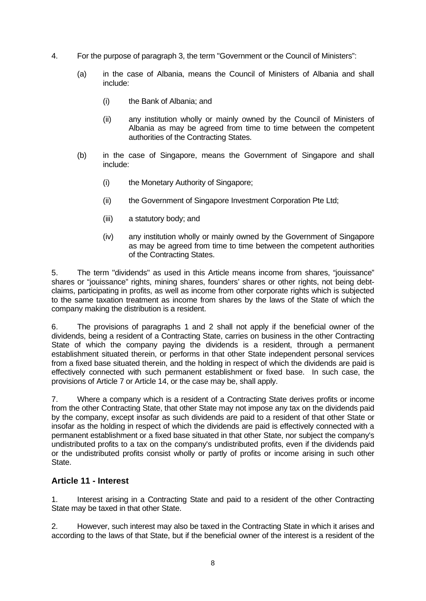- 4. For the purpose of paragraph 3, the term "Government or the Council of Ministers":
	- (a) in the case of Albania, means the Council of Ministers of Albania and shall include:
		- (i) the Bank of Albania; and
		- (ii) any institution wholly or mainly owned by the Council of Ministers of Albania as may be agreed from time to time between the competent authorities of the Contracting States.
	- (b) in the case of Singapore, means the Government of Singapore and shall include:
		- (i) the Monetary Authority of Singapore;
		- (ii) the Government of Singapore Investment Corporation Pte Ltd;
		- (iii) a statutory body; and
		- (iv) any institution wholly or mainly owned by the Government of Singapore as may be agreed from time to time between the competent authorities of the Contracting States.

5. The term "dividends" as used in this Article means income from shares, "jouissance" shares or "jouissance" rights, mining shares, founders' shares or other rights, not being debtclaims, participating in profits, as well as income from other corporate rights which is subjected to the same taxation treatment as income from shares by the laws of the State of which the company making the distribution is a resident.

6. The provisions of paragraphs 1 and 2 shall not apply if the beneficial owner of the dividends, being a resident of a Contracting State, carries on business in the other Contracting State of which the company paying the dividends is a resident, through a permanent establishment situated therein, or performs in that other State independent personal services from a fixed base situated therein, and the holding in respect of which the dividends are paid is effectively connected with such permanent establishment or fixed base. In such case, the provisions of Article 7 or Article 14, or the case may be, shall apply.

7. Where a company which is a resident of a Contracting State derives profits or income from the other Contracting State, that other State may not impose any tax on the dividends paid by the company, except insofar as such dividends are paid to a resident of that other State or insofar as the holding in respect of which the dividends are paid is effectively connected with a permanent establishment or a fixed base situated in that other State, nor subject the company's undistributed profits to a tax on the company's undistributed profits, even if the dividends paid or the undistributed profits consist wholly or partly of profits or income arising in such other State.

## **Article 11 - Interest**

1. Interest arising in a Contracting State and paid to a resident of the other Contracting State may be taxed in that other State.

2. However, such interest may also be taxed in the Contracting State in which it arises and according to the laws of that State, but if the beneficial owner of the interest is a resident of the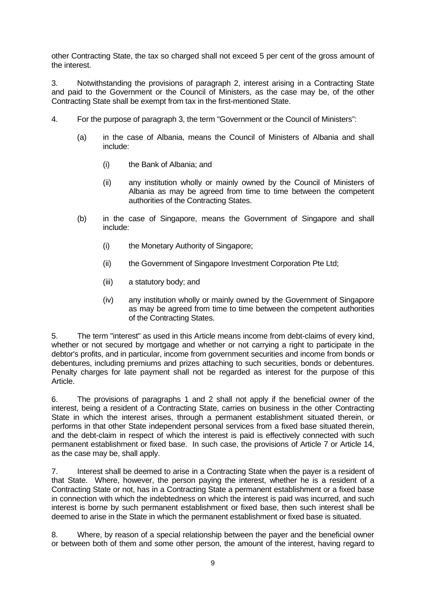other Contracting State, the tax so charged shall not exceed 5 per cent of the gross amount of the interest.

3. Notwithstanding the provisions of paragraph 2, interest arising in a Contracting State and paid to the Government or the Council of Ministers, as the case may be, of the other Contracting State shall be exempt from tax in the first-mentioned State.

- 4. For the purpose of paragraph 3, the term "Government or the Council of Ministers":
	- (a) in the case of Albania, means the Council of Ministers of Albania and shall include:
		- (i) the Bank of Albania; and
		- (ii) any institution wholly or mainly owned by the Council of Ministers of Albania as may be agreed from time to time between the competent authorities of the Contracting States.
	- (b) in the case of Singapore, means the Government of Singapore and shall include:
		- (i) the Monetary Authority of Singapore;
		- (ii) the Government of Singapore Investment Corporation Pte Ltd;
		- (iii) a statutory body; and
		- (iv) any institution wholly or mainly owned by the Government of Singapore as may be agreed from time to time between the competent authorities of the Contracting States.

5. The term "interest" as used in this Article means income from debt-claims of every kind, whether or not secured by mortgage and whether or not carrying a right to participate in the debtor's profits, and in particular, income from government securities and income from bonds or debentures, including premiums and prizes attaching to such securities, bonds or debentures. Penalty charges for late payment shall not be regarded as interest for the purpose of this Article.

6. The provisions of paragraphs 1 and 2 shall not apply if the beneficial owner of the interest, being a resident of a Contracting State, carries on business in the other Contracting State in which the interest arises, through a permanent establishment situated therein, or performs in that other State independent personal services from a fixed base situated therein, and the debt-claim in respect of which the interest is paid is effectively connected with such permanent establishment or fixed base. In such case, the provisions of Article 7 or Article 14, as the case may be, shall apply.

7. Interest shall be deemed to arise in a Contracting State when the payer is a resident of that State. Where, however, the person paying the interest, whether he is a resident of a Contracting State or not, has in a Contracting State a permanent establishment or a fixed base in connection with which the indebtedness on which the interest is paid was incurred, and such interest is borne by such permanent establishment or fixed base, then such interest shall be deemed to arise in the State in which the permanent establishment or fixed base is situated.

8. Where, by reason of a special relationship between the payer and the beneficial owner or between both of them and some other person, the amount of the interest, having regard to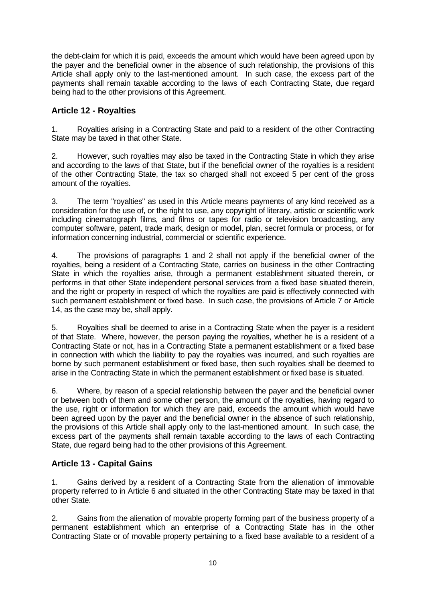the debt-claim for which it is paid, exceeds the amount which would have been agreed upon by the payer and the beneficial owner in the absence of such relationship, the provisions of this Article shall apply only to the last-mentioned amount. In such case, the excess part of the payments shall remain taxable according to the laws of each Contracting State, due regard being had to the other provisions of this Agreement.

# **Article 12 - Royalties**

1. Royalties arising in a Contracting State and paid to a resident of the other Contracting State may be taxed in that other State.

2. However, such royalties may also be taxed in the Contracting State in which they arise and according to the laws of that State, but if the beneficial owner of the royalties is a resident of the other Contracting State, the tax so charged shall not exceed 5 per cent of the gross amount of the royalties.

3. The term "royalties" as used in this Article means payments of any kind received as a consideration for the use of, or the right to use, any copyright of literary, artistic or scientific work including cinematograph films, and films or tapes for radio or television broadcasting, any computer software, patent, trade mark, design or model, plan, secret formula or process, or for information concerning industrial, commercial or scientific experience.

4. The provisions of paragraphs 1 and 2 shall not apply if the beneficial owner of the royalties, being a resident of a Contracting State, carries on business in the other Contracting State in which the royalties arise, through a permanent establishment situated therein, or performs in that other State independent personal services from a fixed base situated therein, and the right or property in respect of which the royalties are paid is effectively connected with such permanent establishment or fixed base. In such case, the provisions of Article 7 or Article 14, as the case may be, shall apply.

5. Royalties shall be deemed to arise in a Contracting State when the payer is a resident of that State. Where, however, the person paying the royalties, whether he is a resident of a Contracting State or not, has in a Contracting State a permanent establishment or a fixed base in connection with which the liability to pay the royalties was incurred, and such royalties are borne by such permanent establishment or fixed base, then such royalties shall be deemed to arise in the Contracting State in which the permanent establishment or fixed base is situated.

6. Where, by reason of a special relationship between the payer and the beneficial owner or between both of them and some other person, the amount of the royalties, having regard to the use, right or information for which they are paid, exceeds the amount which would have been agreed upon by the payer and the beneficial owner in the absence of such relationship, the provisions of this Article shall apply only to the last-mentioned amount. In such case, the excess part of the payments shall remain taxable according to the laws of each Contracting State, due regard being had to the other provisions of this Agreement.

# **Article 13 - Capital Gains**

1. Gains derived by a resident of a Contracting State from the alienation of immovable property referred to in Article 6 and situated in the other Contracting State may be taxed in that other State.

2. Gains from the alienation of movable property forming part of the business property of a permanent establishment which an enterprise of a Contracting State has in the other Contracting State or of movable property pertaining to a fixed base available to a resident of a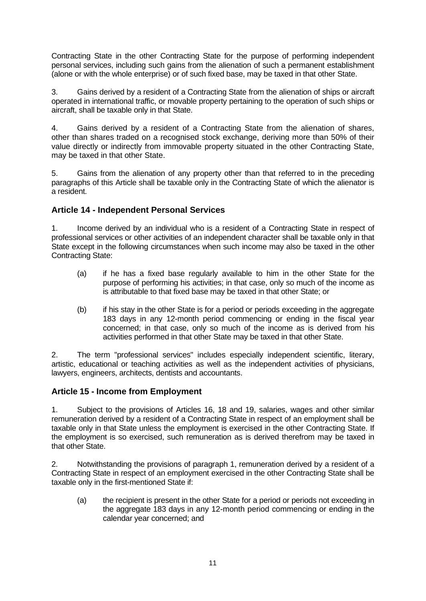Contracting State in the other Contracting State for the purpose of performing independent personal services, including such gains from the alienation of such a permanent establishment (alone or with the whole enterprise) or of such fixed base, may be taxed in that other State.

3. Gains derived by a resident of a Contracting State from the alienation of ships or aircraft operated in international traffic, or movable property pertaining to the operation of such ships or aircraft, shall be taxable only in that State.

4. Gains derived by a resident of a Contracting State from the alienation of shares, other than shares traded on a recognised stock exchange, deriving more than 50% of their value directly or indirectly from immovable property situated in the other Contracting State, may be taxed in that other State.

5. Gains from the alienation of any property other than that referred to in the preceding paragraphs of this Article shall be taxable only in the Contracting State of which the alienator is a resident.

# **Article 14 - Independent Personal Services**

1. Income derived by an individual who is a resident of a Contracting State in respect of professional services or other activities of an independent character shall be taxable only in that State except in the following circumstances when such income may also be taxed in the other Contracting State:

- (a) if he has a fixed base regularly available to him in the other State for the purpose of performing his activities; in that case, only so much of the income as is attributable to that fixed base may be taxed in that other State; or
- (b) if his stay in the other State is for a period or periods exceeding in the aggregate 183 days in any 12-month period commencing or ending in the fiscal year concerned; in that case, only so much of the income as is derived from his activities performed in that other State may be taxed in that other State.

2. The term "professional services" includes especially independent scientific, literary, artistic, educational or teaching activities as well as the independent activities of physicians, lawyers, engineers, architects, dentists and accountants.

## **Article 15 - Income from Employment**

1. Subject to the provisions of Articles 16, 18 and 19, salaries, wages and other similar remuneration derived by a resident of a Contracting State in respect of an employment shall be taxable only in that State unless the employment is exercised in the other Contracting State. If the employment is so exercised, such remuneration as is derived therefrom may be taxed in that other State.

2. Notwithstanding the provisions of paragraph 1, remuneration derived by a resident of a Contracting State in respect of an employment exercised in the other Contracting State shall be taxable only in the first-mentioned State if:

(a) the recipient is present in the other State for a period or periods not exceeding in the aggregate 183 days in any 12-month period commencing or ending in the calendar year concerned; and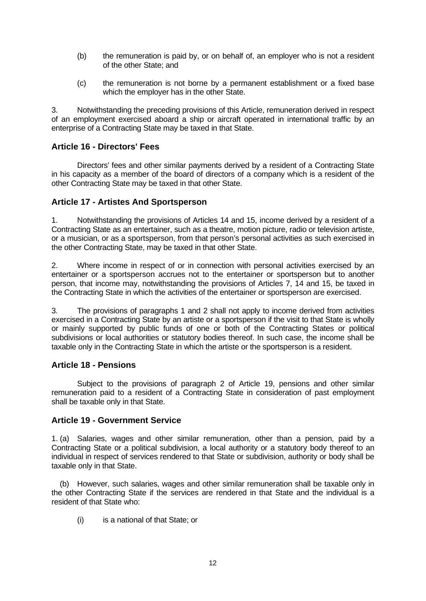- (b) the remuneration is paid by, or on behalf of, an employer who is not a resident of the other State; and
- (c) the remuneration is not borne by a permanent establishment or a fixed base which the employer has in the other State.

3. Notwithstanding the preceding provisions of this Article, remuneration derived in respect of an employment exercised aboard a ship or aircraft operated in international traffic by an enterprise of a Contracting State may be taxed in that State.

#### **Article 16 - Directors' Fees**

Directors' fees and other similar payments derived by a resident of a Contracting State in his capacity as a member of the board of directors of a company which is a resident of the other Contracting State may be taxed in that other State.

#### **Article 17 - Artistes And Sportsperson**

1. Notwithstanding the provisions of Articles 14 and 15, income derived by a resident of a Contracting State as an entertainer, such as a theatre, motion picture, radio or television artiste, or a musician, or as a sportsperson, from that person's personal activities as such exercised in the other Contracting State, may be taxed in that other State.

2. Where income in respect of or in connection with personal activities exercised by an entertainer or a sportsperson accrues not to the entertainer or sportsperson but to another person, that income may, notwithstanding the provisions of Articles 7, 14 and 15, be taxed in the Contracting State in which the activities of the entertainer or sportsperson are exercised.

3. The provisions of paragraphs 1 and 2 shall not apply to income derived from activities exercised in a Contracting State by an artiste or a sportsperson if the visit to that State is wholly or mainly supported by public funds of one or both of the Contracting States or political subdivisions or local authorities or statutory bodies thereof. In such case, the income shall be taxable only in the Contracting State in which the artiste or the sportsperson is a resident.

#### **Article 18 - Pensions**

Subject to the provisions of paragraph 2 of Article 19, pensions and other similar remuneration paid to a resident of a Contracting State in consideration of past employment shall be taxable only in that State.

#### **Article 19 - Government Service**

1. (a) Salaries, wages and other similar remuneration, other than a pension, paid by a Contracting State or a political subdivision, a local authority or a statutory body thereof to an individual in respect of services rendered to that State or subdivision, authority or body shall be taxable only in that State.

 (b) However, such salaries, wages and other similar remuneration shall be taxable only in the other Contracting State if the services are rendered in that State and the individual is a resident of that State who:

(i) is a national of that State; or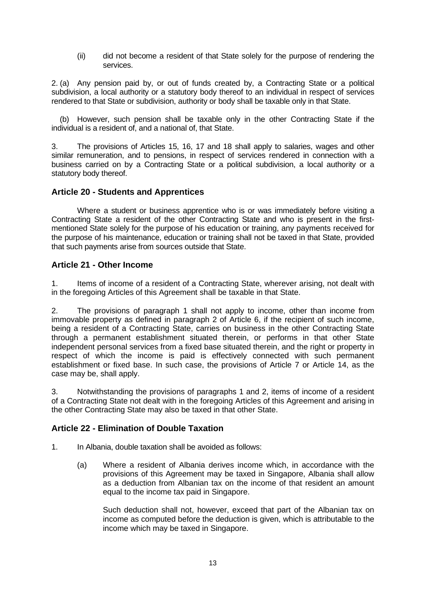(ii) did not become a resident of that State solely for the purpose of rendering the services.

2. (a) Any pension paid by, or out of funds created by, a Contracting State or a political subdivision, a local authority or a statutory body thereof to an individual in respect of services rendered to that State or subdivision, authority or body shall be taxable only in that State.

 (b) However, such pension shall be taxable only in the other Contracting State if the individual is a resident of, and a national of, that State.

3. The provisions of Articles 15, 16, 17 and 18 shall apply to salaries, wages and other similar remuneration, and to pensions, in respect of services rendered in connection with a business carried on by a Contracting State or a political subdivision, a local authority or a statutory body thereof.

#### **Article 20 - Students and Apprentices**

Where a student or business apprentice who is or was immediately before visiting a Contracting State a resident of the other Contracting State and who is present in the firstmentioned State solely for the purpose of his education or training, any payments received for the purpose of his maintenance, education or training shall not be taxed in that State, provided that such payments arise from sources outside that State.

#### **Article 21 - Other Income**

1. Items of income of a resident of a Contracting State, wherever arising, not dealt with in the foregoing Articles of this Agreement shall be taxable in that State.

2. The provisions of paragraph 1 shall not apply to income, other than income from immovable property as defined in paragraph 2 of Article 6, if the recipient of such income, being a resident of a Contracting State, carries on business in the other Contracting State through a permanent establishment situated therein, or performs in that other State independent personal services from a fixed base situated therein, and the right or property in respect of which the income is paid is effectively connected with such permanent establishment or fixed base. In such case, the provisions of Article 7 or Article 14, as the case may be, shall apply.

3. Notwithstanding the provisions of paragraphs 1 and 2, items of income of a resident of a Contracting State not dealt with in the foregoing Articles of this Agreement and arising in the other Contracting State may also be taxed in that other State.

#### **Article 22 - Elimination of Double Taxation**

- 1. In Albania, double taxation shall be avoided as follows:
	- (a) Where a resident of Albania derives income which, in accordance with the provisions of this Agreement may be taxed in Singapore, Albania shall allow as a deduction from Albanian tax on the income of that resident an amount equal to the income tax paid in Singapore.

Such deduction shall not, however, exceed that part of the Albanian tax on income as computed before the deduction is given, which is attributable to the income which may be taxed in Singapore.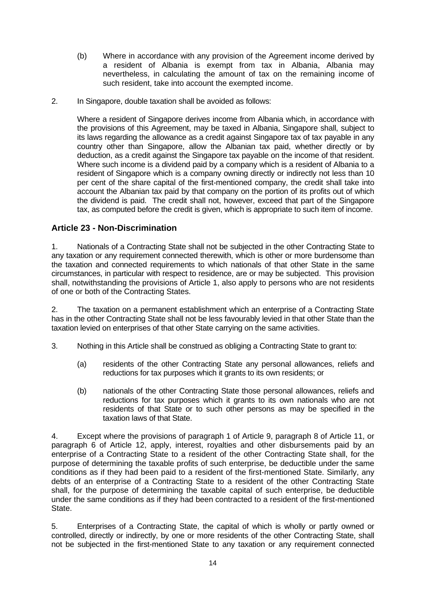- (b) Where in accordance with any provision of the Agreement income derived by a resident of Albania is exempt from tax in Albania, Albania may nevertheless, in calculating the amount of tax on the remaining income of such resident, take into account the exempted income.
- 2. In Singapore, double taxation shall be avoided as follows:

Where a resident of Singapore derives income from Albania which, in accordance with the provisions of this Agreement, may be taxed in Albania, Singapore shall, subject to its laws regarding the allowance as a credit against Singapore tax of tax payable in any country other than Singapore, allow the Albanian tax paid, whether directly or by deduction, as a credit against the Singapore tax payable on the income of that resident. Where such income is a dividend paid by a company which is a resident of Albania to a resident of Singapore which is a company owning directly or indirectly not less than 10 per cent of the share capital of the first-mentioned company, the credit shall take into account the Albanian tax paid by that company on the portion of its profits out of which the dividend is paid. The credit shall not, however, exceed that part of the Singapore tax, as computed before the credit is given, which is appropriate to such item of income.

## **Article 23 - Non-Discrimination**

1. Nationals of a Contracting State shall not be subjected in the other Contracting State to any taxation or any requirement connected therewith, which is other or more burdensome than the taxation and connected requirements to which nationals of that other State in the same circumstances, in particular with respect to residence, are or may be subjected. This provision shall, notwithstanding the provisions of Article 1, also apply to persons who are not residents of one or both of the Contracting States.

2. The taxation on a permanent establishment which an enterprise of a Contracting State has in the other Contracting State shall not be less favourably levied in that other State than the taxation levied on enterprises of that other State carrying on the same activities.

- 3. Nothing in this Article shall be construed as obliging a Contracting State to grant to:
	- (a) residents of the other Contracting State any personal allowances, reliefs and reductions for tax purposes which it grants to its own residents; or
	- (b) nationals of the other Contracting State those personal allowances, reliefs and reductions for tax purposes which it grants to its own nationals who are not residents of that State or to such other persons as may be specified in the taxation laws of that State.

4. Except where the provisions of paragraph 1 of Article 9, paragraph 8 of Article 11, or paragraph 6 of Article 12, apply, interest, royalties and other disbursements paid by an enterprise of a Contracting State to a resident of the other Contracting State shall, for the purpose of determining the taxable profits of such enterprise, be deductible under the same conditions as if they had been paid to a resident of the first-mentioned State. Similarly, any debts of an enterprise of a Contracting State to a resident of the other Contracting State shall, for the purpose of determining the taxable capital of such enterprise, be deductible under the same conditions as if they had been contracted to a resident of the first-mentioned State.

5. Enterprises of a Contracting State, the capital of which is wholly or partly owned or controlled, directly or indirectly, by one or more residents of the other Contracting State, shall not be subjected in the first-mentioned State to any taxation or any requirement connected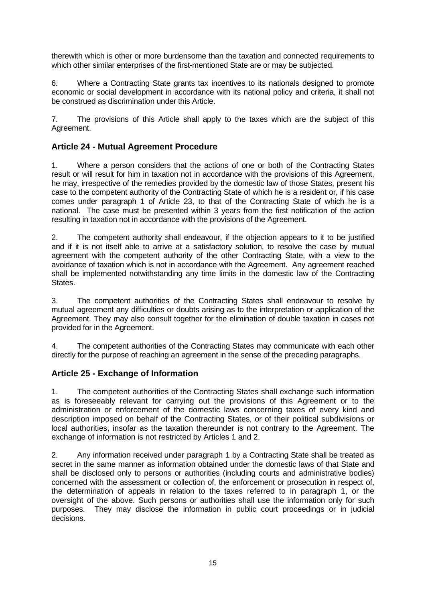therewith which is other or more burdensome than the taxation and connected requirements to which other similar enterprises of the first-mentioned State are or may be subjected.

6. Where a Contracting State grants tax incentives to its nationals designed to promote economic or social development in accordance with its national policy and criteria, it shall not be construed as discrimination under this Article.

7. The provisions of this Article shall apply to the taxes which are the subject of this Agreement.

# **Article 24 - Mutual Agreement Procedure**

1. Where a person considers that the actions of one or both of the Contracting States result or will result for him in taxation not in accordance with the provisions of this Agreement, he may, irrespective of the remedies provided by the domestic law of those States, present his case to the competent authority of the Contracting State of which he is a resident or, if his case comes under paragraph 1 of Article 23, to that of the Contracting State of which he is a national. The case must be presented within 3 years from the first notification of the action resulting in taxation not in accordance with the provisions of the Agreement.

2. The competent authority shall endeavour, if the objection appears to it to be justified and if it is not itself able to arrive at a satisfactory solution, to resolve the case by mutual agreement with the competent authority of the other Contracting State, with a view to the avoidance of taxation which is not in accordance with the Agreement. Any agreement reached shall be implemented notwithstanding any time limits in the domestic law of the Contracting States.

3. The competent authorities of the Contracting States shall endeavour to resolve by mutual agreement any difficulties or doubts arising as to the interpretation or application of the Agreement. They may also consult together for the elimination of double taxation in cases not provided for in the Agreement.

4. The competent authorities of the Contracting States may communicate with each other directly for the purpose of reaching an agreement in the sense of the preceding paragraphs.

## **Article 25 - Exchange of Information**

1. The competent authorities of the Contracting States shall exchange such information as is foreseeably relevant for carrying out the provisions of this Agreement or to the administration or enforcement of the domestic laws concerning taxes of every kind and description imposed on behalf of the Contracting States, or of their political subdivisions or local authorities, insofar as the taxation thereunder is not contrary to the Agreement. The exchange of information is not restricted by Articles 1 and 2.

2. Any information received under paragraph 1 by a Contracting State shall be treated as secret in the same manner as information obtained under the domestic laws of that State and shall be disclosed only to persons or authorities (including courts and administrative bodies) concerned with the assessment or collection of, the enforcement or prosecution in respect of, the determination of appeals in relation to the taxes referred to in paragraph 1, or the oversight of the above. Such persons or authorities shall use the information only for such purposes. They may disclose the information in public court proceedings or in judicial decisions.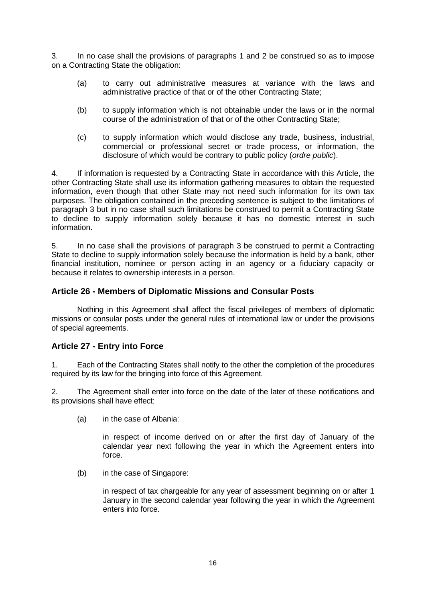3. In no case shall the provisions of paragraphs 1 and 2 be construed so as to impose on a Contracting State the obligation:

- (a) to carry out administrative measures at variance with the laws and administrative practice of that or of the other Contracting State;
- (b) to supply information which is not obtainable under the laws or in the normal course of the administration of that or of the other Contracting State;
- (c) to supply information which would disclose any trade, business, industrial, commercial or professional secret or trade process, or information, the disclosure of which would be contrary to public policy (*ordre public*).

4. If information is requested by a Contracting State in accordance with this Article, the other Contracting State shall use its information gathering measures to obtain the requested information, even though that other State may not need such information for its own tax purposes. The obligation contained in the preceding sentence is subject to the limitations of paragraph 3 but in no case shall such limitations be construed to permit a Contracting State to decline to supply information solely because it has no domestic interest in such information.

5. In no case shall the provisions of paragraph 3 be construed to permit a Contracting State to decline to supply information solely because the information is held by a bank, other financial institution, nominee or person acting in an agency or a fiduciary capacity or because it relates to ownership interests in a person.

#### **Article 26 - Members of Diplomatic Missions and Consular Posts**

Nothing in this Agreement shall affect the fiscal privileges of members of diplomatic missions or consular posts under the general rules of international law or under the provisions of special agreements.

## **Article 27 - Entry into Force**

1. Each of the Contracting States shall notify to the other the completion of the procedures required by its law for the bringing into force of this Agreement.

2. The Agreement shall enter into force on the date of the later of these notifications and its provisions shall have effect:

(a) in the case of Albania:

in respect of income derived on or after the first day of January of the calendar year next following the year in which the Agreement enters into force.

(b) in the case of Singapore:

in respect of tax chargeable for any year of assessment beginning on or after 1 January in the second calendar year following the year in which the Agreement enters into force.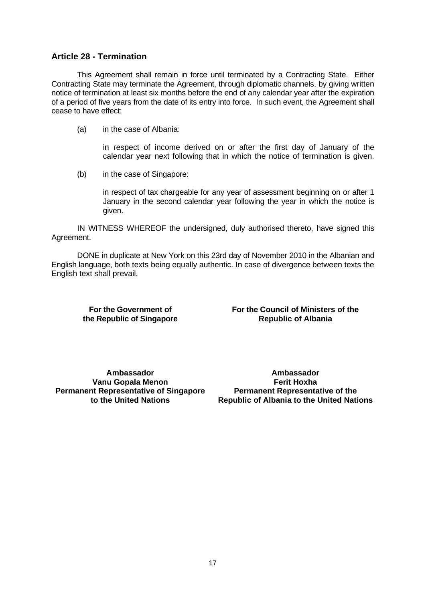#### **Article 28 - Termination**

This Agreement shall remain in force until terminated by a Contracting State. Either Contracting State may terminate the Agreement, through diplomatic channels, by giving written notice of termination at least six months before the end of any calendar year after the expiration of a period of five years from the date of its entry into force. In such event, the Agreement shall cease to have effect:

(a) in the case of Albania:

in respect of income derived on or after the first day of January of the calendar year next following that in which the notice of termination is given.

(b) in the case of Singapore:

in respect of tax chargeable for any year of assessment beginning on or after 1 January in the second calendar year following the year in which the notice is given.

IN WITNESS WHEREOF the undersigned, duly authorised thereto, have signed this Agreement.

DONE in duplicate at New York on this 23rd day of November 2010 in the Albanian and English language, both texts being equally authentic. In case of divergence between texts the English text shall prevail.

**For the Government of the Republic of Singapore** **For the Council of Ministers of the Republic of Albania**

**Ambassador Vanu Gopala Menon Permanent Representative of Singapore to the United Nations**

**Ambassador Ferit Hoxha Permanent Representative of the Republic of Albania to the United Nations**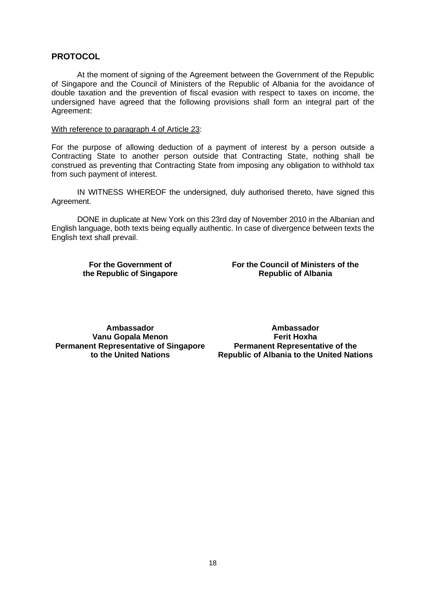#### **PROTOCOL**

At the moment of signing of the Agreement between the Government of the Republic of Singapore and the Council of Ministers of the Republic of Albania for the avoidance of double taxation and the prevention of fiscal evasion with respect to taxes on income, the undersigned have agreed that the following provisions shall form an integral part of the Agreement:

#### With reference to paragraph 4 of Article 23:

For the purpose of allowing deduction of a payment of interest by a person outside a Contracting State to another person outside that Contracting State, nothing shall be construed as preventing that Contracting State from imposing any obligation to withhold tax from such payment of interest.

IN WITNESS WHEREOF the undersigned, duly authorised thereto, have signed this Agreement.

DONE in duplicate at New York on this 23rd day of November 2010 in the Albanian and English language, both texts being equally authentic. In case of divergence between texts the English text shall prevail.

**For the Government of the Republic of Singapore** **For the Council of Ministers of the Republic of Albania**

**Ambassador Vanu Gopala Menon Permanent Representative of Singapore to the United Nations**

**Ambassador Ferit Hoxha Permanent Representative of the Republic of Albania to the United Nations**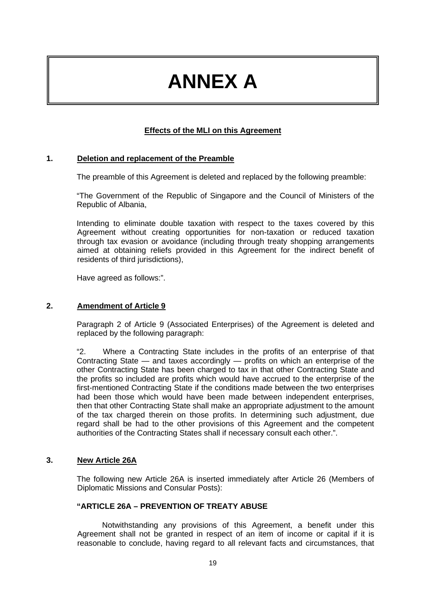# **ANNEX A**

## **Effects of the MLI on this Agreement**

#### **1. Deletion and replacement of the Preamble**

The preamble of this Agreement is deleted and replaced by the following preamble:

"The Government of the Republic of Singapore and the Council of Ministers of the Republic of Albania,

Intending to eliminate double taxation with respect to the taxes covered by this Agreement without creating opportunities for non-taxation or reduced taxation through tax evasion or avoidance (including through treaty shopping arrangements aimed at obtaining reliefs provided in this Agreement for the indirect benefit of residents of third jurisdictions),

Have agreed as follows:".

#### **2. Amendment of Article 9**

Paragraph 2 of Article 9 (Associated Enterprises) of the Agreement is deleted and replaced by the following paragraph:

"2. Where a Contracting State includes in the profits of an enterprise of that Contracting State — and taxes accordingly — profits on which an enterprise of the other Contracting State has been charged to tax in that other Contracting State and the profits so included are profits which would have accrued to the enterprise of the first-mentioned Contracting State if the conditions made between the two enterprises had been those which would have been made between independent enterprises, then that other Contracting State shall make an appropriate adjustment to the amount of the tax charged therein on those profits. In determining such adjustment, due regard shall be had to the other provisions of this Agreement and the competent authorities of the Contracting States shall if necessary consult each other.".

#### **3. New Article 26A**

The following new Article 26A is inserted immediately after Article 26 (Members of Diplomatic Missions and Consular Posts):

#### **"ARTICLE 26A – PREVENTION OF TREATY ABUSE**

Notwithstanding any provisions of this Agreement, a benefit under this Agreement shall not be granted in respect of an item of income or capital if it is reasonable to conclude, having regard to all relevant facts and circumstances, that